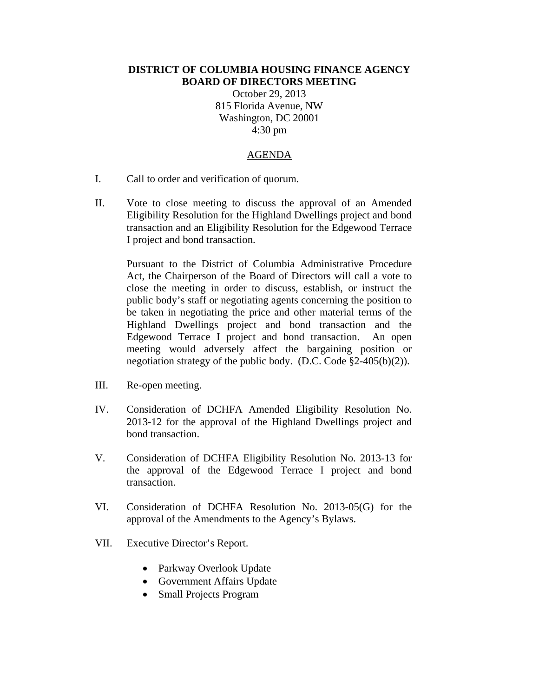## **DISTRICT OF COLUMBIA HOUSING FINANCE AGENCY BOARD OF DIRECTORS MEETING**

October 29, 2013 815 Florida Avenue, NW Washington, DC 20001 4:30 pm

## AGENDA

- I. Call to order and verification of quorum.
- II. Vote to close meeting to discuss the approval of an Amended Eligibility Resolution for the Highland Dwellings project and bond transaction and an Eligibility Resolution for the Edgewood Terrace I project and bond transaction.

Pursuant to the District of Columbia Administrative Procedure Act, the Chairperson of the Board of Directors will call a vote to close the meeting in order to discuss, establish, or instruct the public body's staff or negotiating agents concerning the position to be taken in negotiating the price and other material terms of the Highland Dwellings project and bond transaction and the Edgewood Terrace I project and bond transaction. An open meeting would adversely affect the bargaining position or negotiation strategy of the public body. (D.C. Code §2-405(b)(2)).

- III. Re-open meeting.
- IV. Consideration of DCHFA Amended Eligibility Resolution No. 2013-12 for the approval of the Highland Dwellings project and bond transaction.
- V. Consideration of DCHFA Eligibility Resolution No. 2013-13 for the approval of the Edgewood Terrace I project and bond transaction.
- VI. Consideration of DCHFA Resolution No. 2013-05(G) for the approval of the Amendments to the Agency's Bylaws.
- VII. Executive Director's Report.
	- Parkway Overlook Update
	- Government Affairs Update
	- Small Projects Program